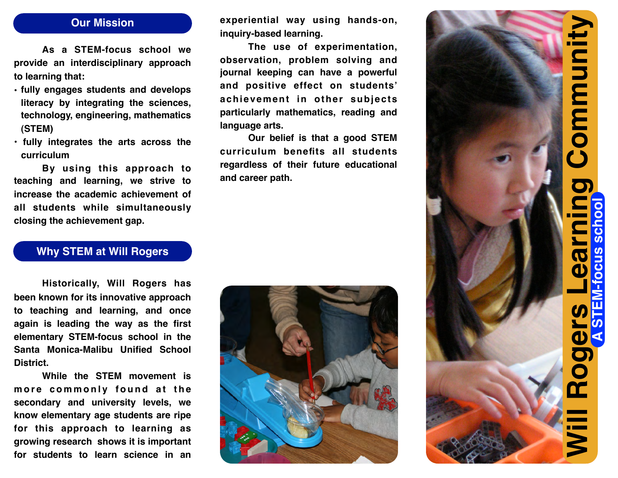### **Our Mission**

**As a STEM-focus school we provide an interdisciplinary approach to learning that:**

- **• fully engages students and develops literacy by integrating the sciences, technology, engineering, mathematics (STEM)**
- **• fully integrates the arts across the curriculum**

**By using this approach to teaching and learning, we strive to increase the academic achievement of all students while simultaneously closing the achievement gap.**

#### **Why STEM at Will Rogers**

**Historically, Will Rogers has been known for its innovative approach to teaching and learning, and once again is leading the way as the first elementary STEM-focus school in the Santa Monica-Malibu Unified School District.**

**While the STEM movement is m o r e c o m m o n l y f o u n d a t t h e secondary and university levels, we know elementary age students are ripe for this approach to learning as**

**experiential way using hands-on, inquiry-based learning.**

**The use of experimentation, observation, problem solving and journal keeping can have a powerful and positive effect on students' achievement in other subjects particularly mathematics, reading and language arts.**

**Our belief is that a good STEM curriculum benefits all students regardless of their future educational and career path.**